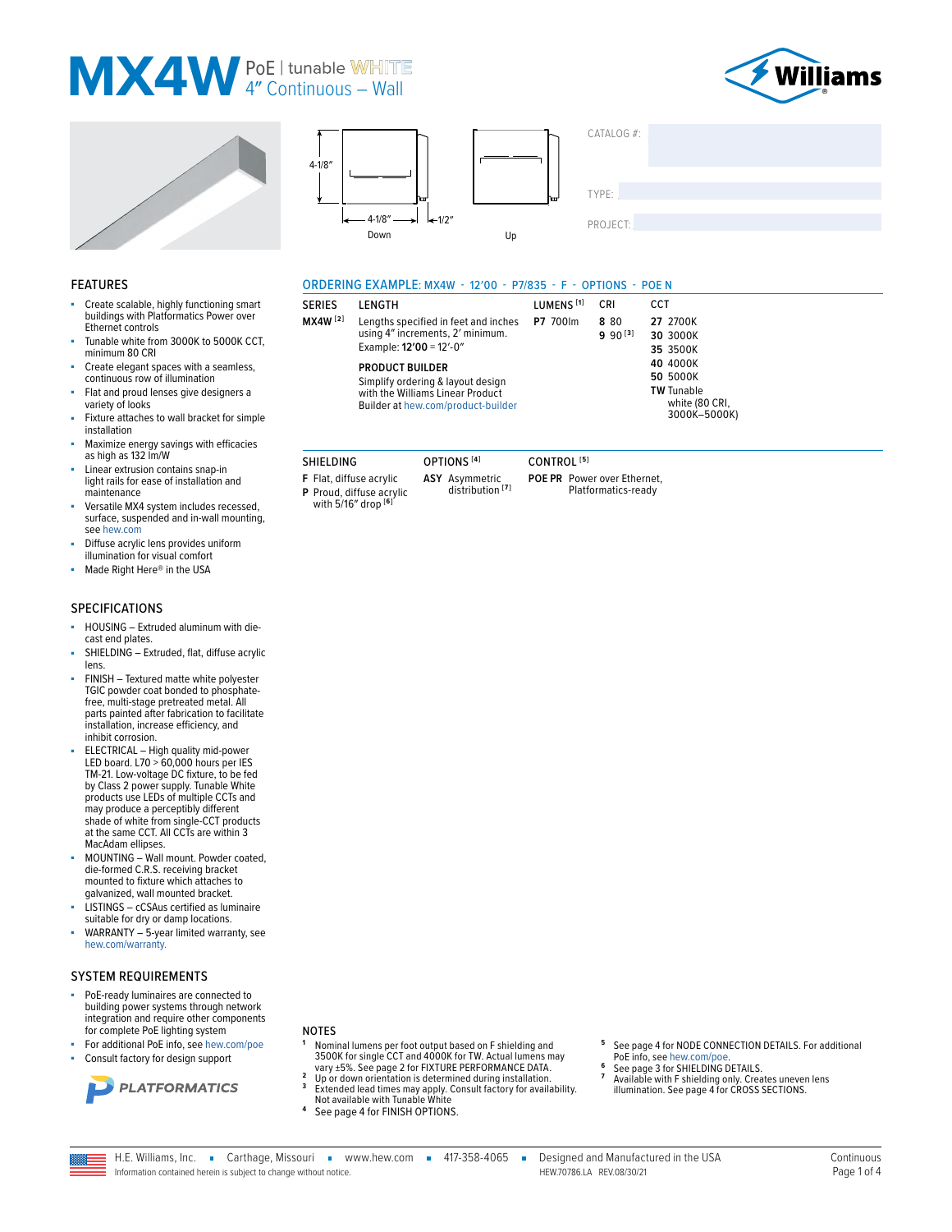### MX4W PoEl tunable WHITE







**I FNGTH** 

**SERIES** 

MX4W [2]

SHIELDING

F Flat, diffuse acrylic

P Proud, diffuse acrylic<br>with 5/16" drop  $[6]$ 

ORDERING EXAMPLE: MX4W - 12'00 - P7/835 - F - OPTIONS - POEN

Lengths specified in feet and inches

using 4" increments, 2' minimum.

Simplify ordering & layout design

with the Williams Linear Product

Builder at hew.com/product-builder

OPTIONS<sup>[4]</sup>

ASY Asymmetric<br>distribution<sup>[7]</sup>

Example: 12'00 = 12'-0"

**PRODUCT BUILDER** 

LUMENS<sup>[1]</sup>

P7 700lm

CONTROL<sup>[5]</sup>

POE PR Power over Ethernet,

Platformatics-ready

CRI

8 80

 $990^{[3]}$ 

| CATALOG #: |  |  |
|------------|--|--|
| TYPE:      |  |  |
| PROJECT:   |  |  |

CCT

27 2700K

30 3000K

35 3500K

40 4000K

50 5000K

**TW Tunable** 

white (80 CRI,

3000K-5000K)

#### **FEATURES**

- Create scalable, highly functioning smart buildings with Platformatics Power over Ethernet controls
- Tunable white from 3000K to 5000K CCT, minimum 80 CRI
- Create elegant spaces with a seamless, continuous row of illumination
- Flat and proud lenses give designers a variety of looks
- Fixture attaches to wall bracket for simple installation
- Maximize energy savings with efficacies as high as 132 lm/W
- Linear extrusion contains snap-in light rails for ease of installation and maintenance
- Versatile MX4 system includes recessed, surface, suspended and in-wall mounting, see hew.com
- Diffuse acrylic lens provides uniform illumination for visual comfort
- ×. Made Right Here® in the USA

#### **SPECIFICATIONS**

- HOUSING Extruded aluminum with diecast end plates.
- SHIELDING Extruded, flat, diffuse acrylic lens.
- FINISH Textured matte white polyester TGIC powder coat bonded to phosphatefree, multi-stage pretreated metal. All parts painted after fabrication to facilitate installation, increase efficiency, and inhibit corrosion.
- ELECTRICAL High quality mid-power LED board. L70 > 60,000 hours per IES TM-21. Low-voltage DC fixture, to be fed by Class 2 power supply. Tunable White<br>products use LEDs of multiple CCTs and may produce a perceptibly different shade of white from single-CCT products at the same CCT. All CCTs are within 3 MacAdam ellipses.
- MOUNTING Wall mount. Powder coated, die-formed C.R.S. receiving bracket mounted to fixture which attaches to galvanized, wall mounted bracket.
- LISTINGS cCSAus certified as luminaire suitable for dry or damp locations.
- WARRANTY 5-year limited warranty, see hew.com/warranty.

#### SYSTEM REQUIREMENTS

- PoE-ready luminaires are connected to building power systems through network integration and require other components for complete PoE lighting system
- For additional PoE info, see hew.com/poe
- Consult factory for design support



#### **NOTES**

- Nominal lumens per foot output based on F shielding and 3500K for single CCT and 4000K for TW. Actual lumens may vary ±5%. See page 2 for FIXTURE PERFORMANCE DATA.
- Up or down orientation is determined during installation.<br>Extended lead times may apply. Consult factory for availability.<br>Not available with Tunable White  $\overline{3}$
- 
- $\overline{\mathbf{4}}$ See page 4 for FINISH OPTIONS.
- See page 4 for NODE CONNECTION DETAILS. For additional PoE info. see hew.com/poe
- See page 3 for SHIELDING DETAILS.
- Available with F shielding only. Creates uneven lens<br>illumination. See page 4 for CROSS SECTIONS.
- H.E. Williams, Inc. Carthage, Missouri vww.hew.com = 417-358-4065 =

Information contained herein is subject to change without notice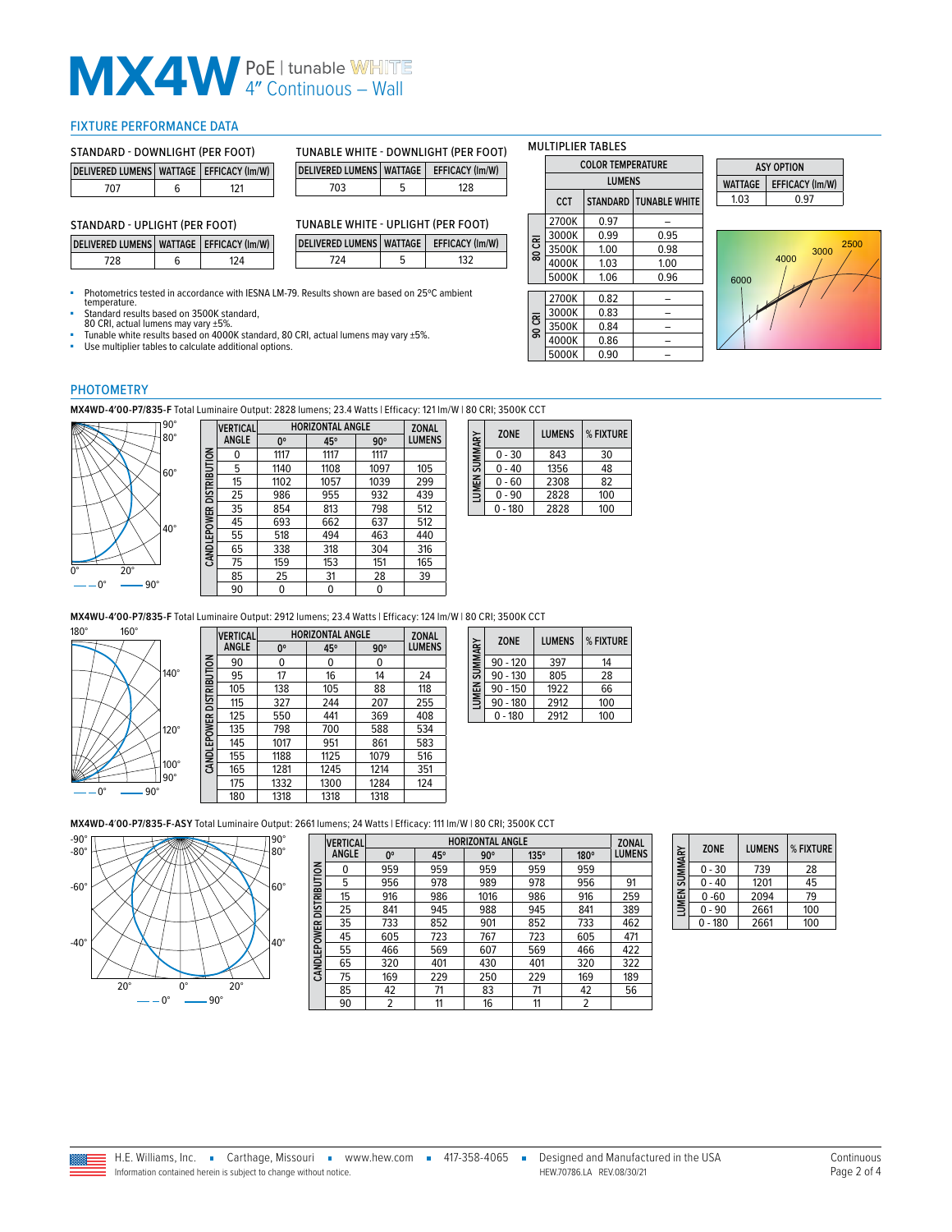# **MX4W** PoE | tunable WHITE

#### <span id="page-1-0"></span>FIXTURE PERFORMANCE DATA

| STANDARD - DOWNLIGHT (PER FOOT)                 |   | <b>TUNABLE</b> |  |                    |  |
|-------------------------------------------------|---|----------------|--|--------------------|--|
| DELIVERED LUMENS   WATTAGE   EFFICACY (Im/W)    |   |                |  | <b>DELIVERED I</b> |  |
| 707                                             | 6 | 121            |  | 703                |  |
| STANDARD - UPLIGHT (PER FOOT)<br><b>TUNABLE</b> |   |                |  |                    |  |

| TUNABLE WHITE - DOWNLIGHT (PER FOOT)       |  |     |  |  |  |
|--------------------------------------------|--|-----|--|--|--|
| DELIVERED LUMENS WATTAGE   EFFICACY (Im/W) |  |     |  |  |  |
| 703                                        |  | 128 |  |  |  |

| TUNABLE WHITE - UPLIGHT (PER FOOT)         |  |     |  |  |  |
|--------------------------------------------|--|-----|--|--|--|
| DELIVERED LUMENS WATTAGE   EFFICACY (Im/W) |  |     |  |  |  |
| 724                                        |  | 132 |  |  |  |

Photometrics tested in accordance with IESNA LM-79. Results shown are based on 25°C ambient temperature.

**DELIVERED LUMENS WATTAGE EFFICACY (lm/W)** 728 6 124

■ Standard results based on 3500K standard,<br>80 CRI, actual lumens may vary ±5%.<br>■ Tunable white results based on 4000K standard, 80 CRI, actual lumens may vary ±5%.<br>■ Use multiplier tables to calculate additional options.

| <b>MULTIPLIER TABLES</b> |  |  |  |  |  |
|--------------------------|--|--|--|--|--|
| <b>COLOR TEMPERATURE</b> |  |  |  |  |  |
| <b>IUMENS</b>            |  |  |  |  |  |
|                          |  |  |  |  |  |

|        | <b>CCT</b> |      | <b>STANDARD   TUNABLE WHITE</b> |
|--------|------------|------|---------------------------------|
|        | 2700K      | 0.97 |                                 |
|        | 3000K      | 0.99 | 0.95                            |
| 80 CRI | 3500K      | 1.00 | 0.98                            |
|        | 4000K      | 1.03 | 1.00                            |
|        | 5000K      | 1.06 | 0.96                            |
|        |            |      |                                 |
|        | 2700K      | 0.82 |                                 |
|        | 3000K      | 0.83 |                                 |
| 90 CRI | 3500K      | 0.84 |                                 |
|        | 4000K      | 0.86 |                                 |
|        | 5000K      | 0.90 |                                 |

**ASY OPTION WATTAGE EFFICACY (lm/W)**  $1.03$  0.97



#### PHOTOMETRY

**MX4WD-4′00-P7/835-F** Total Luminaire Output: 2828 lumens; 23.4 Watts | Efficacy: 121 lm/W | 80 CRI; 3500K CCT



|                          | <b>VERTICAL</b> |             | <b>HORIZONTAL ANGLE</b> |            |               |
|--------------------------|-----------------|-------------|-------------------------|------------|---------------|
|                          | <b>ANGLE</b>    | $0^{\circ}$ | 45°                     | $90^\circ$ | <b>LUMENS</b> |
|                          | 0               | 1117        | 1117                    | 1117       |               |
| CANDLEPOWER DISTRIBUTION | 5               | 1140        | 1108                    | 1097       | 105           |
|                          | 15              | 1102        | 1057                    | 1039       | 299           |
|                          | 25              | 986         | 955                     | 932        | 439           |
|                          | 35              | 854         | 813                     | 798        | 512           |
|                          | 45              | 693         | 662                     | 637        | 512           |
|                          | 55              | 518         | 494                     | 463        | 440           |
|                          | 65              | 338         | 318                     | 304        | 316           |
|                          | 75              | 159         | 153                     | 151        | 165           |
|                          | 85              | 25          | 31                      | 28         | 39            |
|                          | 90              | 0           | 0                       | 0          |               |
|                          |                 |             |                         |            |               |

| LUMEN SUMMARY | <b>ZONE</b> | <b>LUMENS</b> | % FIXTURE |
|---------------|-------------|---------------|-----------|
|               | $0 - 30$    | 843           | 30        |
|               | $0 - 40$    | 1356          | 48        |
|               | $0 - 60$    | 2308          | 82        |
|               | $0 - 90$    | 2828          | 100       |
|               | - 180       | 2828          | 100       |

**MX4WU-4′00-P7/835-F** Total Luminaire Output: 2912 lumens; 23.4 Watts | Efficacy: 124 lm/W | 80 CRI; 3500K CCT



| <b>ZONAL</b> |  |
|--------------|--|
| LUMENS       |  |
|              |  |
|              |  |
| 118          |  |
| 255          |  |
| 408          |  |
| 534          |  |
| 583          |  |
| 516          |  |
| 351          |  |
| 124          |  |
|              |  |
|              |  |

| SUMMARY | <b>ZONE</b> | <b>LUMENS</b> | % FIXTURE |
|---------|-------------|---------------|-----------|
|         | $90 - 120$  | 397           | 14        |
|         | $90 - 130$  | 805           | 28        |
| LUMEN ! | $90 - 150$  | 1922          | 66        |
|         | $90 - 180$  | 2912          | 100       |
|         | $0 - 180$   | 2912          | 100       |

**MX4WD-4**′**00-P7/835-F-ASY** Total Luminaire Output: 2661 lumens; 24 Watts | Efficacy: 111 lm/W | 80 CRI; 3500K CCT



**CANDLEPOWER DISTRIBUTION**

6 EDOL CANDLI

DISTRIBUTION

**DICTDIBITION** 

CANDI EDOMED

|                     | <b>VERTICAL</b> | <b>HORIZONTAL ANGLE</b> |     |            |      |      | <b>ZONAL</b> |
|---------------------|-----------------|-------------------------|-----|------------|------|------|--------------|
|                     | <b>ANGLE</b>    | 0 <sup>o</sup>          | 45° | $90^\circ$ | 135° | 180° | LUMENS       |
|                     | 0               | 959                     | 959 | 959        | 959  | 959  |              |
| <b>DISTRIBUTION</b> | 5               | 956                     | 978 | 989        | 978  | 956  | 91           |
|                     | 15              | 916                     | 986 | 1016       | 986  | 916  | 259          |
|                     | 25              | 841                     | 945 | 988        | 945  | 841  | 389          |
|                     | 35              | 733                     | 852 | 901        | 852  | 733  | 462          |
| <b>CANDLEPOWER</b>  | 45              | 605                     | 723 | 767        | 723  | 605  | 471          |
|                     | 55              | 466                     | 569 | 607        | 569  | 466  | 422          |
|                     | 65              | 320                     | 401 | 430        | 401  | 320  | 322          |
|                     | 75              | 169                     | 229 | 250        | 229  | 169  | 189          |
|                     | 85              | 42                      | 71  | 83         | 71   | 42   | 56           |
|                     | 90              | 2                       | 11  | 16         | 11   | 2    |              |

| LUMEN SUMMARY | <b>ZONE</b> | <b>LUMENS</b> | % FIXTURE |
|---------------|-------------|---------------|-----------|
|               | $0 - 30$    | 739           | 28        |
|               | $0 - 40$    | 1201          | 45        |
|               | $0 - 60$    | 2094          | 79        |
|               | $0 - 90$    | 2661          | 100       |
|               | $0 - 180$   | 2661          | 100       |

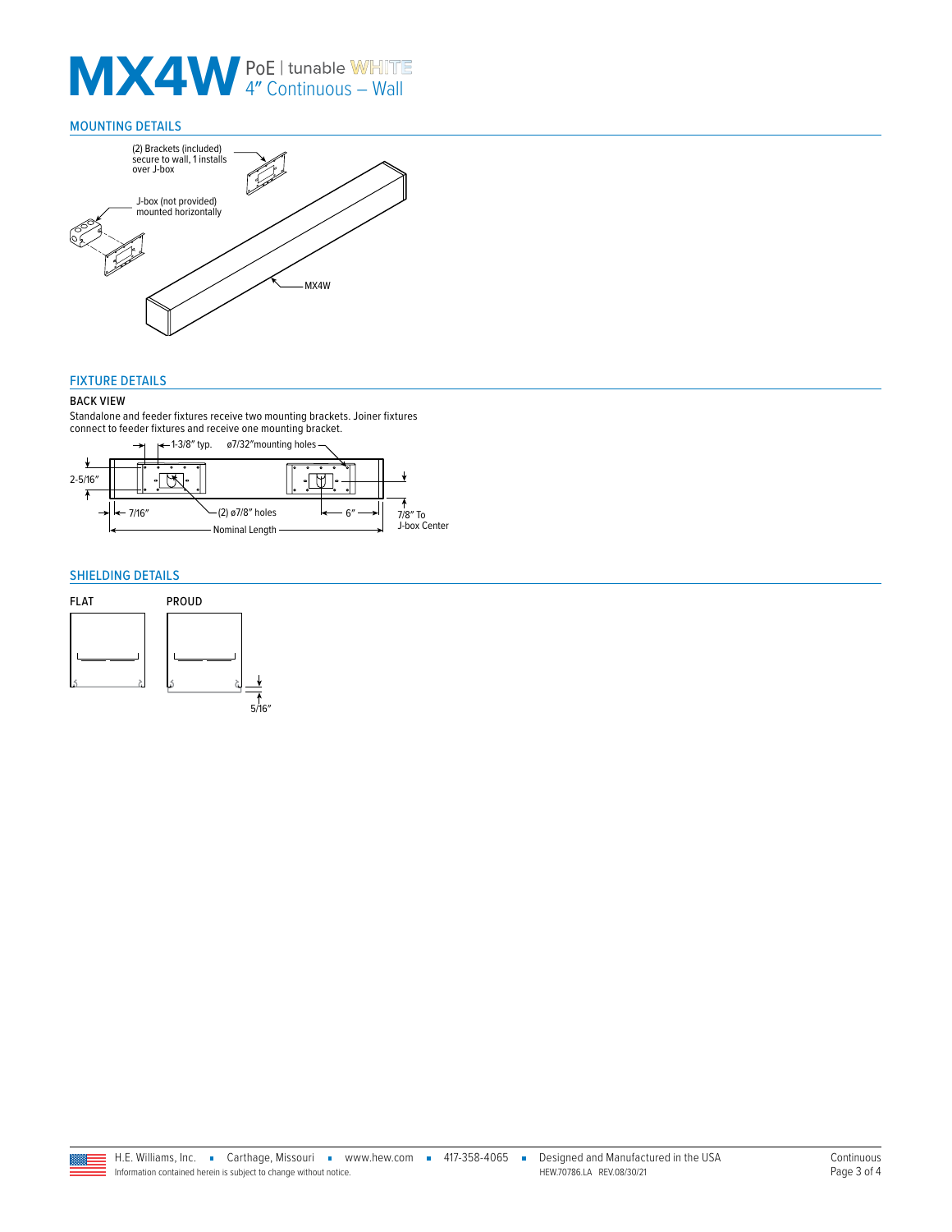# **MX4W** PoE | tunable WHITE

#### MOUNTING DETAILS



#### FIXTURE DETAILS

#### BACK VIEW

Standalone and feeder fixtures receive two mounting brackets. Joiner fixtures connect to feeder fixtures and receive one mounting bracket.



#### <span id="page-2-0"></span>SHIELDING DETAILS